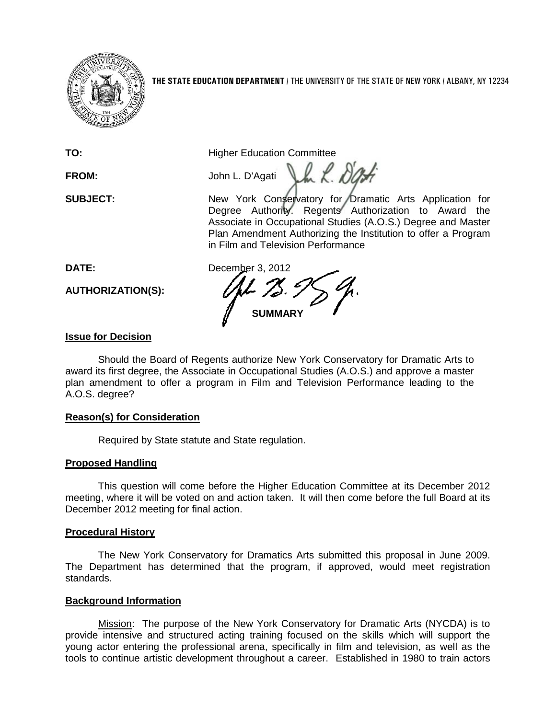

**THE STATE EDUCATION DEPARTMENT** / THE UNIVERSITY OF THE STATE OF NEW YORK / ALBANY, NY 12234

**TO:** Higher Education Committee

 $\mathcal{L} \times \mathcal{L}$ **FROM:** John L. D'Agati

**SUBJECT:** New York Conservatory for Dramatic Arts Application for Degree Authority. Regents Authorization to Award the Associate in Occupational Studies (A.O.S.) Degree and Master Plan Amendment Authorizing the Institution to offer a Program in Film and Television Performance

**AUTHORIZATION(S):**

**DATE:** December 3, 2012 **SUMMARY**

## **Issue for Decision**

Should the Board of Regents authorize New York Conservatory for Dramatic Arts to award its first degree, the Associate in Occupational Studies (A.O.S.) and approve a master plan amendment to offer a program in Film and Television Performance leading to the A.O.S. degree?

### **Reason(s) for Consideration**

Required by State statute and State regulation.

## **Proposed Handling**

This question will come before the Higher Education Committee at its December 2012 meeting, where it will be voted on and action taken. It will then come before the full Board at its December 2012 meeting for final action.

### **Procedural History**

The New York Conservatory for Dramatics Arts submitted this proposal in June 2009. The Department has determined that the program, if approved, would meet registration standards.

### **Background Information**

Mission: The purpose of the New York Conservatory for Dramatic Arts (NYCDA) is to provide intensive and structured acting training focused on the skills which will support the young actor entering the professional arena, specifically in film and television, as well as the tools to continue artistic development throughout a career. Established in 1980 to train actors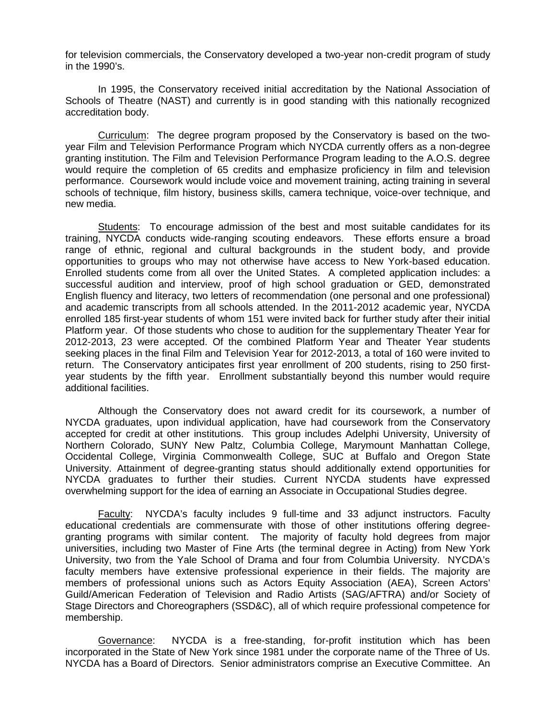for television commercials, the Conservatory developed a two-year non-credit program of study in the 1990's.

In 1995, the Conservatory received initial accreditation by the National Association of Schools of Theatre (NAST) and currently is in good standing with this nationally recognized accreditation body.

Curriculum: The degree program proposed by the Conservatory is based on the twoyear Film and Television Performance Program which NYCDA currently offers as a non-degree granting institution. The Film and Television Performance Program leading to the A.O.S. degree would require the completion of 65 credits and emphasize proficiency in film and television performance. Coursework would include voice and movement training, acting training in several schools of technique, film history, business skills, camera technique, voice-over technique, and new media.

Students: To encourage admission of the best and most suitable candidates for its training, NYCDA conducts wide-ranging scouting endeavors. These efforts ensure a broad range of ethnic, regional and cultural backgrounds in the student body, and provide opportunities to groups who may not otherwise have access to New York-based education. Enrolled students come from all over the United States. A completed application includes: a successful audition and interview, proof of high school graduation or GED, demonstrated English fluency and literacy, two letters of recommendation (one personal and one professional) and academic transcripts from all schools attended. In the 2011-2012 academic year, NYCDA enrolled 185 first-year students of whom 151 were invited back for further study after their initial Platform year. Of those students who chose to audition for the supplementary Theater Year for 2012-2013, 23 were accepted. Of the combined Platform Year and Theater Year students seeking places in the final Film and Television Year for 2012-2013, a total of 160 were invited to return. The Conservatory anticipates first year enrollment of 200 students, rising to 250 firstyear students by the fifth year. Enrollment substantially beyond this number would require additional facilities.

Although the Conservatory does not award credit for its coursework, a number of NYCDA graduates, upon individual application, have had coursework from the Conservatory accepted for credit at other institutions. This group includes Adelphi University, University of Northern Colorado, SUNY New Paltz, Columbia College, Marymount Manhattan College, Occidental College, Virginia Commonwealth College, SUC at Buffalo and Oregon State University. Attainment of degree-granting status should additionally extend opportunities for NYCDA graduates to further their studies. Current NYCDA students have expressed overwhelming support for the idea of earning an Associate in Occupational Studies degree.

Faculty: NYCDA's faculty includes 9 full-time and 33 adjunct instructors. Faculty educational credentials are commensurate with those of other institutions offering degreegranting programs with similar content. The majority of faculty hold degrees from major universities, including two Master of Fine Arts (the terminal degree in Acting) from New York University, two from the Yale School of Drama and four from Columbia University. NYCDA's faculty members have extensive professional experience in their fields. The majority are members of professional unions such as Actors Equity Association (AEA), Screen Actors' Guild/American Federation of Television and Radio Artists (SAG/AFTRA) and/or Society of Stage Directors and Choreographers (SSD&C), all of which require professional competence for membership.

Governance: NYCDA is a free-standing, for-profit institution which has been incorporated in the State of New York since 1981 under the corporate name of the Three of Us. NYCDA has a Board of Directors. Senior administrators comprise an Executive Committee. An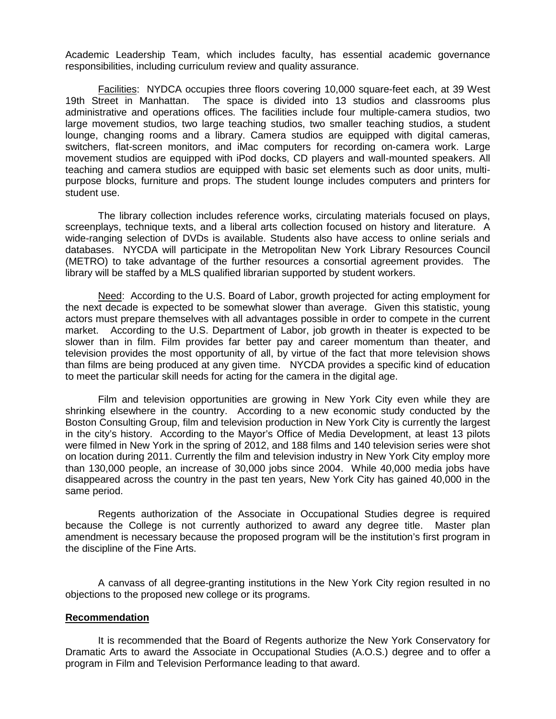Academic Leadership Team, which includes faculty, has essential academic governance responsibilities, including curriculum review and quality assurance.

Facilities: NYDCA occupies three floors covering 10,000 square-feet each, at 39 West 19th Street in Manhattan. The space is divided into 13 studios and classrooms plus administrative and operations offices. The facilities include four multiple-camera studios, two large movement studios, two large teaching studios, two smaller teaching studios, a student lounge, changing rooms and a library. Camera studios are equipped with digital cameras, switchers, flat-screen monitors, and iMac computers for recording on-camera work. Large movement studios are equipped with iPod docks, CD players and wall-mounted speakers. All teaching and camera studios are equipped with basic set elements such as door units, multipurpose blocks, furniture and props. The student lounge includes computers and printers for student use.

The library collection includes reference works, circulating materials focused on plays, screenplays, technique texts, and a liberal arts collection focused on history and literature. A wide-ranging selection of DVDs is available. Students also have access to online serials and databases. NYCDA will participate in the Metropolitan New York Library Resources Council (METRO) to take advantage of the further resources a consortial agreement provides. The library will be staffed by a MLS qualified librarian supported by student workers.

Need: According to the U.S. Board of Labor, growth projected for acting employment for the next decade is expected to be somewhat slower than average. Given this statistic, young actors must prepare themselves with all advantages possible in order to compete in the current market. According to the U.S. Department of Labor, job growth in theater is expected to be slower than in film. Film provides far better pay and career momentum than theater, and television provides the most opportunity of all, by virtue of the fact that more television shows than films are being produced at any given time. NYCDA provides a specific kind of education to meet the particular skill needs for acting for the camera in the digital age.

Film and television opportunities are growing in New York City even while they are shrinking elsewhere in the country. According to a new economic study conducted by the Boston Consulting Group, film and television production in New York City is currently the largest in the city's history. According to the Mayor's Office of Media Development, at least 13 pilots were filmed in New York in the spring of 2012, and 188 films and 140 television series were shot on location during 2011. Currently the film and television industry in New York City employ more than 130,000 people, an increase of 30,000 jobs since 2004. While 40,000 media jobs have disappeared across the country in the past ten years, New York City has gained 40,000 in the same period.

Regents authorization of the Associate in Occupational Studies degree is required because the College is not currently authorized to award any degree title. Master plan amendment is necessary because the proposed program will be the institution's first program in the discipline of the Fine Arts.

A canvass of all degree-granting institutions in the New York City region resulted in no objections to the proposed new college or its programs.

#### **Recommendation**

It is recommended that the Board of Regents authorize the New York Conservatory for Dramatic Arts to award the Associate in Occupational Studies (A.O.S.) degree and to offer a program in Film and Television Performance leading to that award.